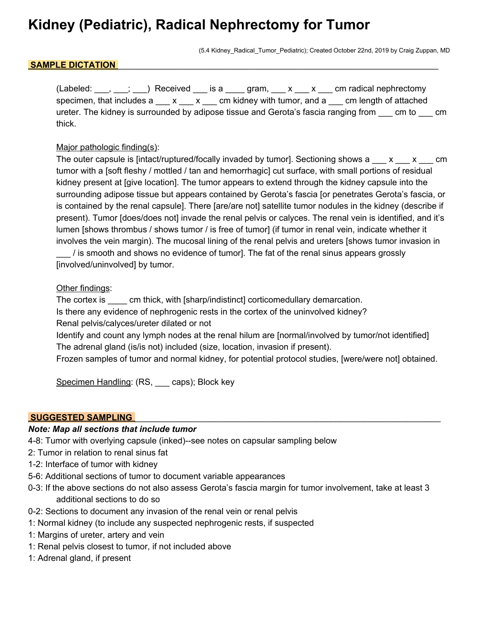# **Kidney (Pediatric), Radical Nephrectomy for Tumor**

(5.4 Kidney\_Radical\_Tumor\_Pediatric); Created October 22nd, 2019 by Craig Zuppan, MD

## SAMPLE DICTATION

 $(Labeled: ___, ___, __])$  Received  $__$  is a  $__$  gram,  $__ x _ __ x _ __$  cm radical nephrectomy specimen, that includes  $a \_ x \_ x \_ cm$  kidney with tumor, and  $a \_ cm$  length of attached ureter. The kidney is surrounded by adipose tissue and Gerota's fascia ranging from sample to the comthick.

## Major pathologic finding(s):

The outer capsule is [intact/ruptured/focally invaded by tumor]. Sectioning shows  $a_1 \cdot x_2 \cdot x_3 \cdot x_4 \cdot x_5 \cdot x_6$ tumor with a [soft fleshy / mottled / tan and hemorrhagic] cut surface, with small portions of residual kidney present at [give location]. The tumor appears to extend through the kidney capsule into the surrounding adipose tissue but appears contained by Gerota's fascia [or penetrates Gerota's fascia, or is contained by the renal capsule]. There [are/are not] satellite tumor nodules in the kidney (describe if present). Tumor [does/does not] invade the renal pelvis or calyces. The renal vein is identified, and it's lumen [shows thrombus / shows tumor / is free of tumor] (if tumor in renal vein, indicate whether it involves the vein margin). The mucosal lining of the renal pelvis and ureters [shows tumor invasion in \_\_\_ / is smooth and shows no evidence of tumor]. The fat of the renal sinus appears grossly [involved/uninvolved] by tumor.

### Other findings:

The cortex is cm thick, with [sharp/indistinct] corticomedullary demarcation. Is there any evidence of nephrogenic rests in the cortex of the uninvolved kidney? Renal pelvis/calyces/ureter dilated or not Identify and count any lymph nodes at the renal hilum are [normal/involved by tumor/not identified] The adrenal gland (is/is not) included (size, location, invasion if present).

Frozen samples of tumor and normal kidney, for potential protocol studies, [were/were not] obtained.

Specimen Handling: (RS, \_\_\_ caps); Block key

#### **SUGGESTED SAMPLING**

#### *Note: Map all sections that include tumor*

- 4-8: Tumor with overlying capsule (inked)--see notes on capsular sampling below
- 2: Tumor in relation to renal sinus fat
- 1-2: Interface of tumor with kidney
- 5-6: Additional sections of tumor to document variable appearances
- 0-3: If the above sections do not also assess Gerota's fascia margin for tumor involvement, take at least 3 additional sections to do so
- 0-2: Sections to document any invasion of the renal vein or renal pelvis
- 1: Normal kidney (to include any suspected nephrogenic rests, if suspected
- 1: Margins of ureter, artery and vein
- 1: Renal pelvis closest to tumor, if not included above
- 1: Adrenal gland, if present